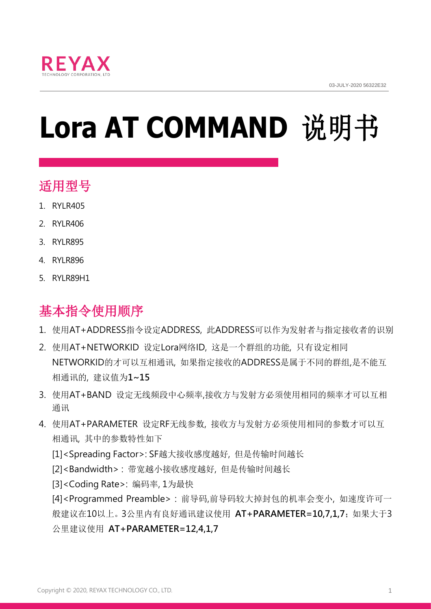

# **Lora AT COMMAND** 说明书

## 适用型号

- 1. RYLR405
- 2. RYLR406
- 3. RYLR895
- 4. RYLR896
- 5. RYLR89H1

# 基本指令使用顺序

- 1. 使用AT+ADDRESS指令设定ADDRESS, 此ADDRESS可以作为发射者与指定接收者的识别
- 2. 使用AT+NETWORKID 设定Lora网络ID, 这是一个群组的功能, 只有设定相同 NETWORKID的才可以互相通讯, 如果指定接收的ADDRESS是属于不同的群组,是不能互 相通讯的, 建议值为**1~15**
- 3. 使用AT+BAND 设定无线频段中心频率,接收方与发射方必须使用相同的频率才可以互相 通讯
- 4. 使用AT+PARAMETER 设定RF无线参数, 接收方与发射方必须使用相同的参数才可以互 相通讯, 其中的参数特性如下
	- [1]<Spreading Factor>: SF越大接收感度越好, 但是传输时间越长
	- [2]<Bandwidth> : 带宽越小接收感度越好, 但是传输时间越长
	- [3]<Coding Rate>: 编码率, 1为最快

[4]<Programmed Preamble> : 前导码,前导码较大掉封包的机率会变小, 如速度许可一 般建议在10以上。3公里内有良好通讯建议使用 **AT+PARAMETER=10,7,1,7**;如果大于3 公里建议使用 **AT+PARAMETER=12,4,1,7**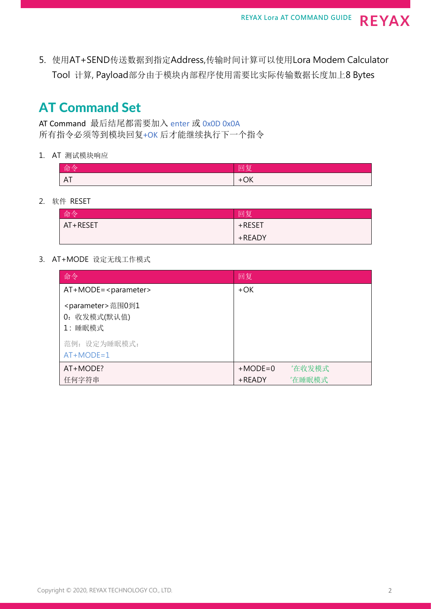5. 使用AT+SEND传送数据到指定Address,传输时间计算可以使用Lora Modem Calculator Tool 计算, Payload部分由于模块内部程序使用需要比实际传输数据长度加上8 Bytes

### AT Command Set

AT Command 最后结尾都需要加入 enter 或 0x0D 0x0A 所有指令必须等到模块回复+OK 后才能继续执行下一个指令

1. AT 测试模块响应

| 命令                  | 回复                    |
|---------------------|-----------------------|
| Λ<br>H <sub>1</sub> | $\bigcap$<br>÷<br>∙∪r |

2. 软件 RESET

| 命令       | 回复     |
|----------|--------|
| AT+RESET | +RESET |
|          | +READY |

3. AT+MODE 设定无线工作模式

| 命令                                                       | 回复        |        |
|----------------------------------------------------------|-----------|--------|
| $AT+MODE = parameter$                                    | $+OK$     |        |
| <parameter>范围0到1<br/>0: 收发模式(默认值)<br/>1:睡眠模式</parameter> |           |        |
| 范例: 设定为睡眠模式:<br>$AT+MODE=1$                              |           |        |
| AT+MODE?                                                 | $+MODE=0$ | '在收发模式 |
| 任何字符串                                                    | $+$ READY | '在睡眠模式 |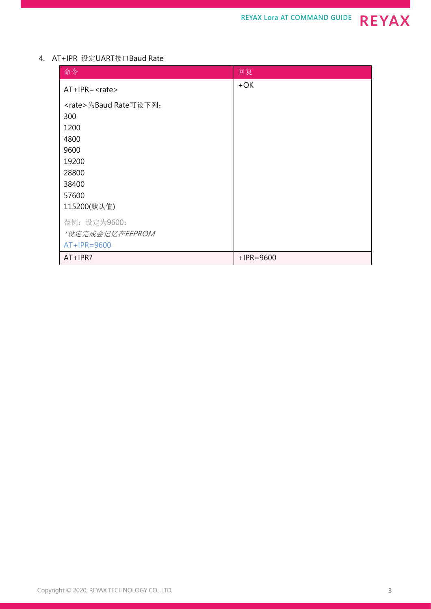#### 4. AT+IPR 设定UART接口Baud Rate

| 命令                           | 回复           |
|------------------------------|--------------|
| $AT+IPR=$                    | $+OK$        |
| <rate>为Baud Rate可设下列:</rate> |              |
| 300                          |              |
| 1200                         |              |
| 4800                         |              |
| 9600                         |              |
| 19200                        |              |
| 28800                        |              |
| 38400                        |              |
| 57600                        |              |
| 115200(默认值)                  |              |
| 范例: 设定为9600:                 |              |
| *设定完成会记忆在EEPROM              |              |
| $AT+IPR=9600$                |              |
| $AT+IPR?$                    | $+$ IPR=9600 |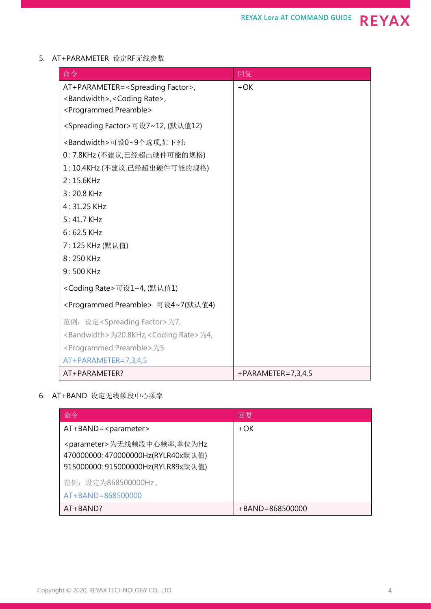#### 5. AT+PARAMETER 设定RF无线参数

| 命令                                                           | 回复                     |
|--------------------------------------------------------------|------------------------|
| AT+PARAMETER= <spreading factor="">,</spreading>             | $+OK$                  |
| <bandwidth>, <coding rate="">,</coding></bandwidth>          |                        |
| <programmed preamble=""></programmed>                        |                        |
| <spreading factor="">可设7~12, (默认值12)</spreading>             |                        |
| <bandwidth>可设0~9个选项,如下列:</bandwidth>                         |                        |
| 0:7.8KHz (不建议,已经超出硬件可能的规格)                                   |                        |
| 1:10.4KHz(不建议,已经超出硬件可能的规格)                                   |                        |
| 2:15.6KHz                                                    |                        |
| 3:20.8 KHz                                                   |                        |
| $4:31.25$ KHz                                                |                        |
| $5:41.7$ KHz                                                 |                        |
| $6:62.5$ KHz                                                 |                        |
| 7:125 KHz (默认值)                                              |                        |
| 8:250 KHz                                                    |                        |
| 9:500 KHz                                                    |                        |
| <coding rate="">可设1~4, (默认值1)</coding>                       |                        |
| <programmed preamble=""> 可设4~7(默认值4)</programmed>            |                        |
| 范例: 设定 <spreading factor="">为7,</spreading>                  |                        |
| <bandwidth>为20.8KHz,<coding rate="">为4,</coding></bandwidth> |                        |
| <programmed preamble="">为5</programmed>                      |                        |
| AT+PARAMETER=7,3,4,5                                         |                        |
| AT+PARAMETER?                                                | $+PARAMETER = 7,3,4,5$ |

#### 6. AT+BAND 设定无线频段中心频率

| 命令                                                                                                                   | 回复                  |
|----------------------------------------------------------------------------------------------------------------------|---------------------|
| $AT + BAND = parameter$                                                                                              | +OK                 |
| <parameter>为无线频段中心频率,单位为Hz<br/>470000000: 470000000Hz(RYLR40x默认值)<br/>915000000: 915000000Hz(RYLR89x默认值)</parameter> |                     |
| 范例: 设定为868500000Hz,                                                                                                  |                     |
| $AT + BAND = 868500000$                                                                                              |                     |
| $AT + BAND?$                                                                                                         | $+BAND = 868500000$ |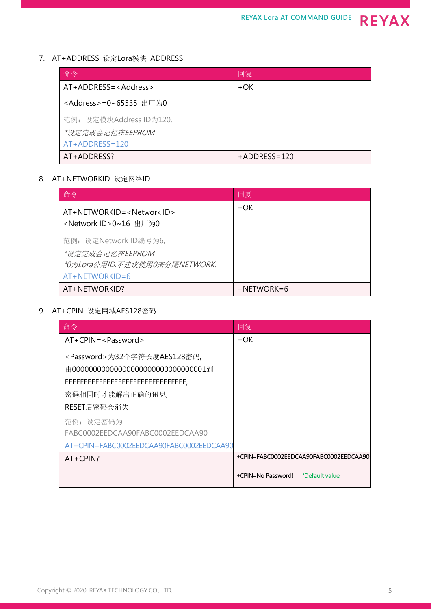#### 7. AT+ADDRESS 设定Lora模块 ADDRESS

| 命令                               | 回复             |
|----------------------------------|----------------|
| AT+ADDRESS= <address></address>  | +OK            |
| <address>=0~65535 出厂为0</address> |                |
| 范例: 设定模块Address ID为120,          |                |
| *设定完成会记忆在EEPROM                  |                |
| $AT+ADDRESS=120$                 |                |
| AT+ADDRESS?                      | $+ADDRESS=120$ |

#### 8. AT+NETWORKID 设定网络ID

| 命令                                                                                          | 回复            |
|---------------------------------------------------------------------------------------------|---------------|
| AT+NETWORKID= <network id=""><br/><network id="">0~16 出厂为0</network></network>              | +OK           |
| 范例: 设定Network ID编号为6,<br>*设定完成会记忆在EEPROM<br>*0为Lora公用ID,不建议使用0来分隔NETWORK.<br>AT+NETWORKID=6 |               |
| AT+NETWORKID?                                                                               | $+$ NETWORK=6 |

#### 9. AT+CPIN 设定网域AES128密码

| 命令                                                                                                 | 回复                                     |
|----------------------------------------------------------------------------------------------------|----------------------------------------|
| $AT+CPIN=<$ Password>                                                                              | +OK                                    |
| <password>为32个字符长度AES128密码,<br/>由000000000000000000000000000000001到<br/>密码相同时才能解出正确的讯息,</password> |                                        |
| RESET后密码会消失                                                                                        |                                        |
| 范例: 设定密码为<br>FABC0002EEDCAA90FABC0002EEDCAA90<br>AT+CPIN=FABC0002EEDCAA90FABC0002EEDCAA90          |                                        |
| $AT+CPIN?$                                                                                         | +CPIN=FABC0002EEDCAA90FABC0002EEDCAA90 |
|                                                                                                    | 'Default value<br>+CPIN=No Password!   |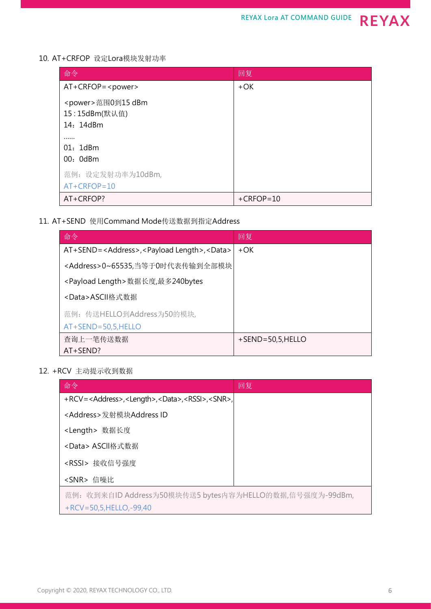10. AT+CRFOP 设定Lora模块发射功率

| 命令                                          | 回复           |
|---------------------------------------------|--------------|
| $AT+CRFOP = $                               | $+OK$        |
| <power>范围0到15 dBm<br/>15:15dBm(默认值)</power> |              |
| 14: 14dBm                                   |              |
|                                             |              |
| 01: 1dBm<br>00: 0dBm                        |              |
| 范例: 设定发射功率为10dBm,                           |              |
| $AT+CRFOP=10$                               |              |
| AT+CRFOP?                                   | $+$ CRFOP=10 |

11. AT+SEND 使用Command Mode传送数据到指定Address

| 命令                                                                       | 回复                  |
|--------------------------------------------------------------------------|---------------------|
| AT+SEND= <address>,<payload length="">,<data></data></payload></address> | $+OK$               |
| <address>0~65535,当等于0时代表传输到全部模块 </address>                               |                     |
| <payload length="">数据长度,最多240bytes</payload>                             |                     |
| <data>ASCII格式数据</data>                                                   |                     |
| 范例: 传送HELLO到Address为50的模块,                                               |                     |
| $AT+SEND=50,5, HELLO$                                                    |                     |
| 查询上一笔传送数据                                                                | $+$ SEND=50,5,HELLO |
| $AT+SEND?$                                                               |                     |

12. +RCV 主动提示收到数据

| 命令                                                                                   | 回复 |
|--------------------------------------------------------------------------------------|----|
| +RCV= <address>,<length>,<data>,<rssi>,<snr>,</snr></rssi></data></length></address> |    |
| <address>发射模块Address ID</address>                                                    |    |
| <length> 数据长度</length>                                                               |    |
| <data> ASCII格式数据</data>                                                              |    |
| <rssi> 接收信号强度</rssi>                                                                 |    |
| <snr> 信噪比</snr>                                                                      |    |
| 范例: 收到来自ID Address为50模块传送5 bytes内容为HELLO的数据,信号强度为-99dBm,                             |    |
| $+$ RCV = 50,5, HELLO, -99,40                                                        |    |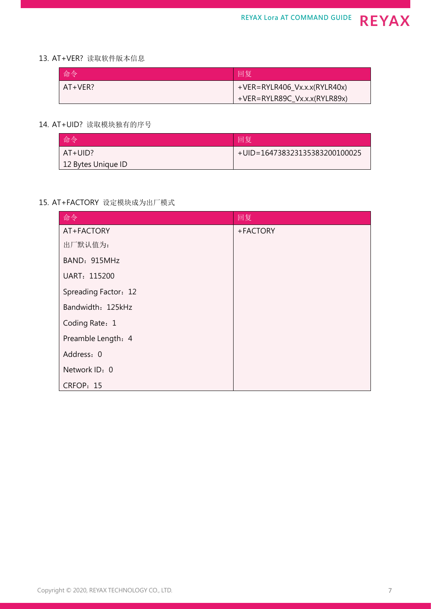#### 13. AT+VER? 读取软件版本信息

| 命令      | 回复                              |
|---------|---------------------------------|
| AT+VER? | $+VER = RYLR406_Vx.x.(RYLR40x)$ |
|         | $+VER = RYLR89C_Vx.x.(RYLR89x)$ |

#### 14. AT+UID? 读取模块独有的序号

| 命令                 | 回复                            |
|--------------------|-------------------------------|
| $AT+UID?$          | +UID=164738323135383200100025 |
| 12 Bytes Unique ID |                               |

#### 15. AT+FACTORY 设定模块成为出厂模式

| 命令                   | 回复       |
|----------------------|----------|
| AT+FACTORY           | +FACTORY |
| 出厂默认值为:              |          |
| BAND: 915MHz         |          |
| UART: 115200         |          |
| Spreading Factor: 12 |          |
| Bandwidth: 125kHz    |          |
| Coding Rate: 1       |          |
| Preamble Length: 4   |          |
| Address: 0           |          |
| Network ID: 0        |          |
| CRFOP: 15            |          |